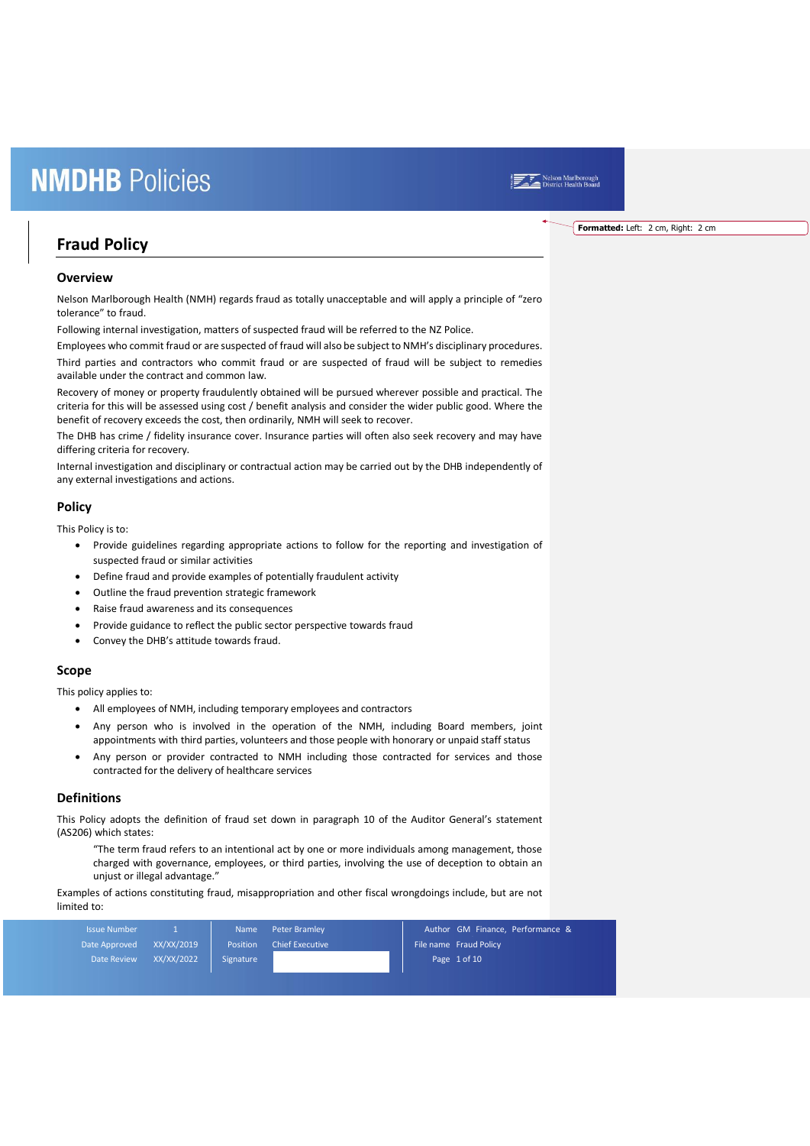### Nelson Marlborough<br>District Health Board

### **Fraud Policy**

#### **Overview**

Nelson Marlborough Health (NMH) regards fraud as totally unacceptable and will apply a principle of "zero tolerance" to fraud.

Following internal investigation, matters of suspected fraud will be referred to the NZ Police.

Employees who commit fraud or are suspected of fraud will also be subject to NMH's disciplinary procedures. Third parties and contractors who commit fraud or are suspected of fraud will be subject to remedies available under the contract and common law.

Recovery of money or property fraudulently obtained will be pursued wherever possible and practical. The criteria for this will be assessed using cost / benefit analysis and consider the wider public good. Where the benefit of recovery exceeds the cost, then ordinarily, NMH will seek to recover.

The DHB has crime / fidelity insurance cover. Insurance parties will often also seek recovery and may have differing criteria for recovery.

Internal investigation and disciplinary or contractual action may be carried out by the DHB independently of any external investigations and actions.

#### **Policy**

This Policy is to:

- Provide guidelines regarding appropriate actions to follow for the reporting and investigation of suspected fraud or similar activities
- Define fraud and provide examples of potentially fraudulent activity
- Outline the fraud prevention strategic framework
- Raise fraud awareness and its consequences
- Provide guidance to reflect the public sector perspective towards fraud
- Convey the DHB's attitude towards fraud.

#### **Scope**

This policy applies to:

- All employees of NMH, including temporary employees and contractors
- Any person who is involved in the operation of the NMH, including Board members, joint appointments with third parties, volunteers and those people with honorary or unpaid staff status
- Any person or provider contracted to NMH including those contracted for services and those contracted for the delivery of healthcare services

#### **Definitions**

This Policy adopts the definition of fraud set down in paragraph 10 of the Auditor General's statement (AS206) which states:

"The term fraud refers to an intentional act by one or more individuals among management, those charged with governance, employees, or third parties, involving the use of deception to obtain an unjust or illegal advantage."

Examples of actions constituting fraud, misappropriation and other fiscal wrongdoings include, but are not limited to:

| <b>Issue Number</b> |            | <b>Name</b> | Peter Bramley          |  | Author GM Finance, Performance & |  |
|---------------------|------------|-------------|------------------------|--|----------------------------------|--|
| Date Approved       | XX/XX/2019 | Position    | <b>Chief Executive</b> |  | File name Fraud Policy           |  |
| Date Review         | XX/XX/2022 | Signature   |                        |  | Page $1 of 10$                   |  |

**Formatted:** Left: 2 cm, Right: 2 cm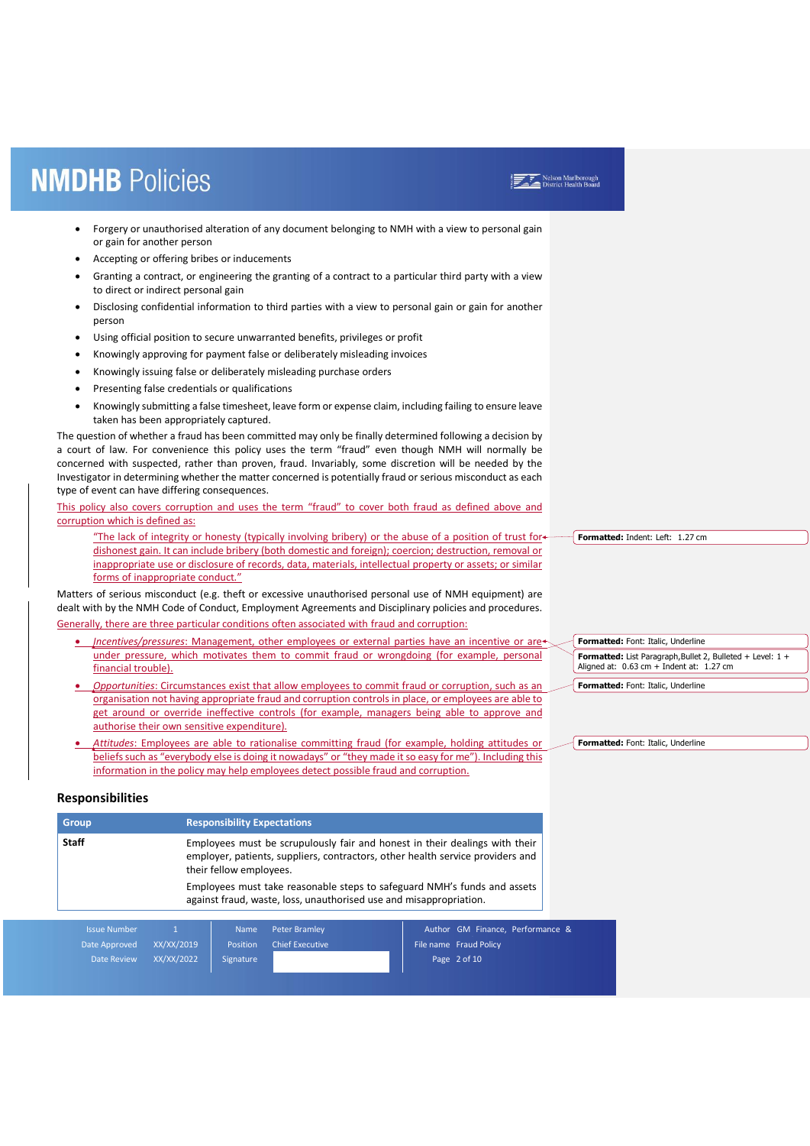- Forgery or unauthorised alteration of any document belonging to NMH with a view to personal gain or gain for another person
- Accepting or offering bribes or inducements
- Granting a contract, or engineering the granting of a contract to a particular third party with a view to direct or indirect personal gain
- Disclosing confidential information to third parties with a view to personal gain or gain for another person
- Using official position to secure unwarranted benefits, privileges or profit
- Knowingly approving for payment false or deliberately misleading invoices
- Knowingly issuing false or deliberately misleading purchase orders
- Presenting false credentials or qualifications
- Knowingly submitting a false timesheet, leave form or expense claim, including failing to ensure leave taken has been appropriately captured.

The question of whether a fraud has been committed may only be finally determined following a decision by a court of law. For convenience this policy uses the term "fraud" even though NMH will normally be concerned with suspected, rather than proven, fraud. Invariably, some discretion will be needed by the Investigator in determining whether the matter concerned is potentially fraud or serious misconduct as each type of event can have differing consequences.

This policy also covers corruption and uses the term "fraud" to cover both fraud as defined above and corruption which is defined as:

"The lack of integrity or honesty (typically involving bribery) or the abuse of a position of trust fordishonest gain. It can include bribery (both domestic and foreign); coercion; destruction, removal or inappropriate use or disclosure of records, data, materials, intellectual property or assets; or similar forms of inappropriate conduct.'

Matters of serious misconduct (e.g. theft or excessive unauthorised personal use of NMH equipment) are dealt with by the NMH Code of Conduct, Employment Agreements and Disciplinary policies and procedures. Generally, there are three particular conditions often associated with fraud and corruption:

- *Incentives/pressures*: Management, other employees or external parties have an incentive or are under pressure, which motivates them to commit fraud or wrongdoing (for example, personal financial trouble).
- *Opportunities*: Circumstances exist that allow employees to commit fraud or corruption, such as an organisation not having appropriate fraud and corruption controls in place, or employees are able to get around or override ineffective controls (for example, managers being able to approve and authorise their own sensitive expenditure).
- *Attitudes*: Employees are able to rationalise committing fraud (for example, holding attitudes or beliefs such as "everybody else is doing it nowadays" or "they made it so easy for me"). Including this information in the policy may help employees detect possible fraud and corruption.

**Responsibilities**

| <b>Group</b> | <b>Responsibility Expectations</b>                                                                                                                                                       |
|--------------|------------------------------------------------------------------------------------------------------------------------------------------------------------------------------------------|
| <b>Staff</b> | Employees must be scrupulously fair and honest in their dealings with their<br>employer, patients, suppliers, contractors, other health service providers and<br>their fellow employees. |
|              | Employees must take reasonable steps to safeguard NMH's funds and assets<br>against fraud, waste, loss, unauthorised use and misappropriation.                                           |

| Issue Number  |            | <b>Name</b> | <b>Peter Bramley</b>   | Author GM Finance, Performance & |
|---------------|------------|-------------|------------------------|----------------------------------|
| Date Approved | XX/XX/2019 | Position    | <b>Chief Executive</b> | File name Fraud Policy           |
| Date Review   | XX/XX/2022 | Signature   |                        | Page 2 of 10                     |
|               |            |             |                        |                                  |

**Formatted:** Indent: Left: 1.27 cm

Nelson Marlborough<br>District Health Board

**Formatted:** Font: Italic, Underline **Formatted:** List Paragraph,Bullet 2, Bulleted + Level: 1 + Aligned at:  $0.63$  cm + Indent at:  $1.27$  cm **Formatted:** Font: Italic, Underline

**Formatted:** Font: Italic, Underline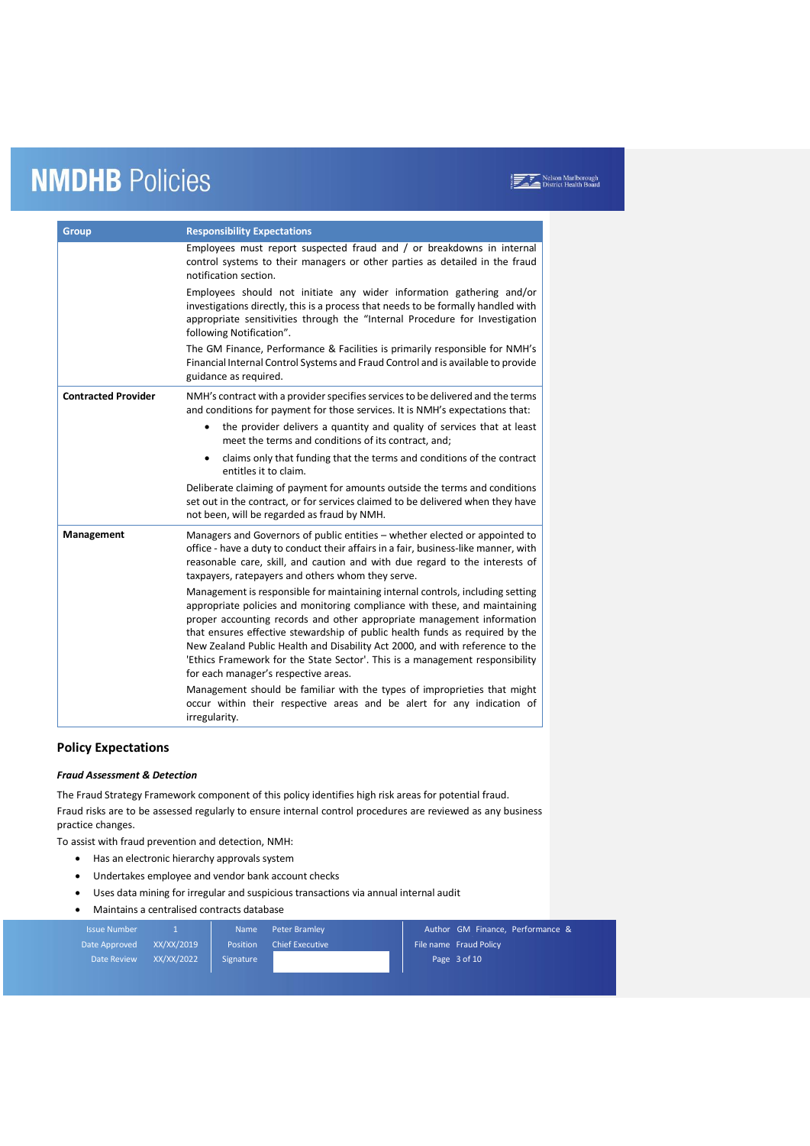| <b>Group</b>               | <b>Responsibility Expectations</b>                                                                                                                                                                                                                                                                                                                                                                                                                                                                                             |
|----------------------------|--------------------------------------------------------------------------------------------------------------------------------------------------------------------------------------------------------------------------------------------------------------------------------------------------------------------------------------------------------------------------------------------------------------------------------------------------------------------------------------------------------------------------------|
|                            | Employees must report suspected fraud and / or breakdowns in internal<br>control systems to their managers or other parties as detailed in the fraud<br>notification section.                                                                                                                                                                                                                                                                                                                                                  |
|                            | Employees should not initiate any wider information gathering and/or<br>investigations directly, this is a process that needs to be formally handled with<br>appropriate sensitivities through the "Internal Procedure for Investigation<br>following Notification".                                                                                                                                                                                                                                                           |
|                            | The GM Finance, Performance & Facilities is primarily responsible for NMH's<br>Financial Internal Control Systems and Fraud Control and is available to provide<br>guidance as required.                                                                                                                                                                                                                                                                                                                                       |
| <b>Contracted Provider</b> | NMH's contract with a provider specifies services to be delivered and the terms<br>and conditions for payment for those services. It is NMH's expectations that:                                                                                                                                                                                                                                                                                                                                                               |
|                            | the provider delivers a quantity and quality of services that at least<br>meet the terms and conditions of its contract, and;                                                                                                                                                                                                                                                                                                                                                                                                  |
|                            | claims only that funding that the terms and conditions of the contract<br>$\bullet$<br>entitles it to claim.                                                                                                                                                                                                                                                                                                                                                                                                                   |
|                            | Deliberate claiming of payment for amounts outside the terms and conditions<br>set out in the contract, or for services claimed to be delivered when they have<br>not been, will be regarded as fraud by NMH.                                                                                                                                                                                                                                                                                                                  |
| Management                 | Managers and Governors of public entities - whether elected or appointed to<br>office - have a duty to conduct their affairs in a fair, business-like manner, with<br>reasonable care, skill, and caution and with due regard to the interests of<br>taxpayers, ratepayers and others whom they serve.                                                                                                                                                                                                                         |
|                            | Management is responsible for maintaining internal controls, including setting<br>appropriate policies and monitoring compliance with these, and maintaining<br>proper accounting records and other appropriate management information<br>that ensures effective stewardship of public health funds as required by the<br>New Zealand Public Health and Disability Act 2000, and with reference to the<br>'Ethics Framework for the State Sector'. This is a management responsibility<br>for each manager's respective areas. |
|                            | Management should be familiar with the types of improprieties that might<br>occur within their respective areas and be alert for any indication of<br>irregularity.                                                                                                                                                                                                                                                                                                                                                            |

### **Policy Expectations**

#### *Fraud Assessment & Detection*

The Fraud Strategy Framework component of this policy identifies high risk areas for potential fraud. Fraud risks are to be assessed regularly to ensure internal control procedures are reviewed as any business practice changes.

To assist with fraud prevention and detection, NMH:

- Has an electronic hierarchy approvals system
- Undertakes employee and vendor bank account checks
- Uses data mining for irregular and suspicious transactions via annual internal audit
- Maintains a centralised contracts database

| <b>Issue Number</b> |            | <b>Name</b> | Peter Bramley          | Author GM Finance, Performance & |
|---------------------|------------|-------------|------------------------|----------------------------------|
| Date Approved       | XX/XX/2019 | Position    | <b>Chief Executive</b> | File name Fraud Policy           |
| <b>Date Review</b>  | XX/XX/2022 | Signature   |                        | Page 3 of 10                     |
|                     |            |             |                        |                                  |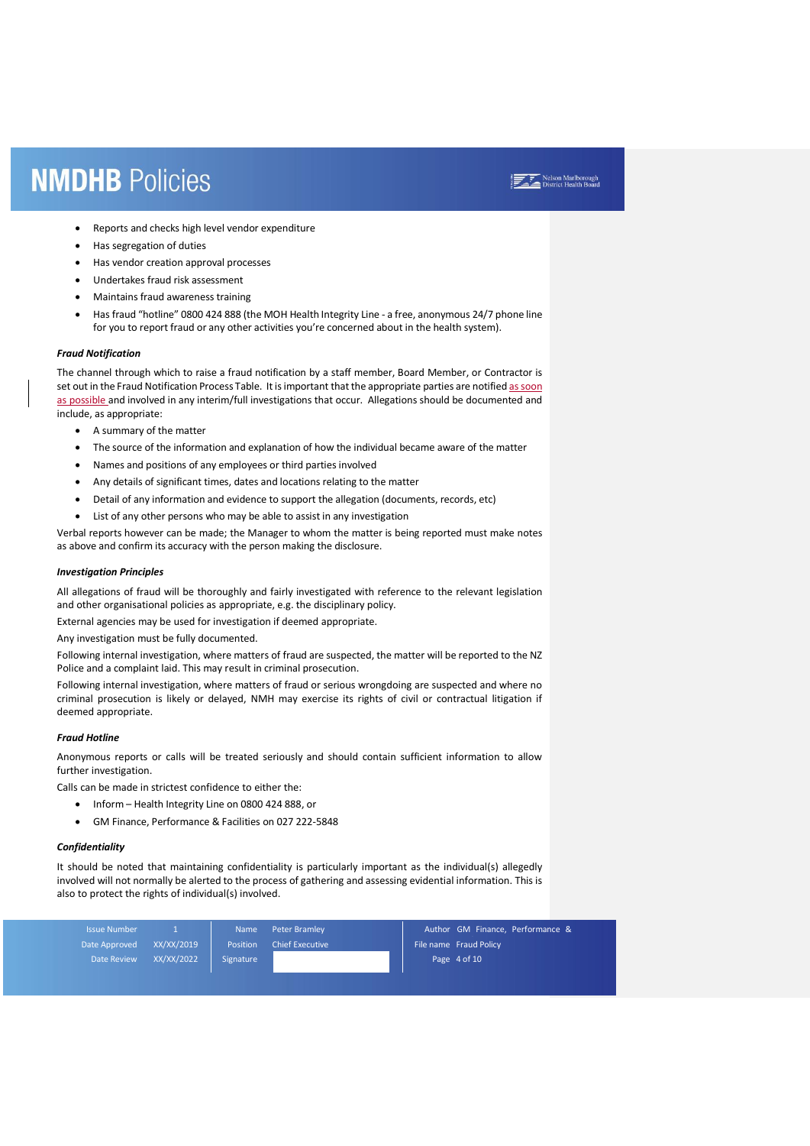- Reports and checks high level vendor expenditure
- Has segregation of duties
- Has vendor creation approval processes
- Undertakes fraud risk assessment
- Maintains fraud awareness training
- Has fraud "hotline" 0800 424 888 (the MOH Health Integrity Line a free, anonymous 24/7 phone line for you to report fraud or any other activities you're concerned about in the health system).

#### *Fraud Notification*

The channel through which to raise a fraud notification by a staff member, Board Member, or Contractor is set out in the Fraud Notification Process Table. It is important that the appropriate parties are notified as soon as possible and involved in any interim/full investigations that occur. Allegations should be documented and include, as appropriate:

- A summary of the matter
- The source of the information and explanation of how the individual became aware of the matter
- Names and positions of any employees or third parties involved
- Any details of significant times, dates and locations relating to the matter
- Detail of any information and evidence to support the allegation (documents, records, etc)
- List of any other persons who may be able to assist in any investigation

Verbal reports however can be made; the Manager to whom the matter is being reported must make notes as above and confirm its accuracy with the person making the disclosure.

#### *Investigation Principles*

All allegations of fraud will be thoroughly and fairly investigated with reference to the relevant legislation and other organisational policies as appropriate, e.g. the disciplinary policy.

External agencies may be used for investigation if deemed appropriate.

Any investigation must be fully documented.

Following internal investigation, where matters of fraud are suspected, the matter will be reported to the NZ Police and a complaint laid. This may result in criminal prosecution.

Following internal investigation, where matters of fraud or serious wrongdoing are suspected and where no criminal prosecution is likely or delayed, NMH may exercise its rights of civil or contractual litigation if deemed appropriate.

#### *Fraud Hotline*

Anonymous reports or calls will be treated seriously and should contain sufficient information to allow further investigation.

Calls can be made in strictest confidence to either the:

- Inform Health Integrity Line on 0800 424 888, or
- GM Finance, Performance & Facilities on 027 222-5848

#### *Confidentiality*

It should be noted that maintaining confidentiality is particularly important as the individual(s) allegedly involved will not normally be alerted to the process of gathering and assessing evidential information. This is also to protect the rights of individual(s) involved.

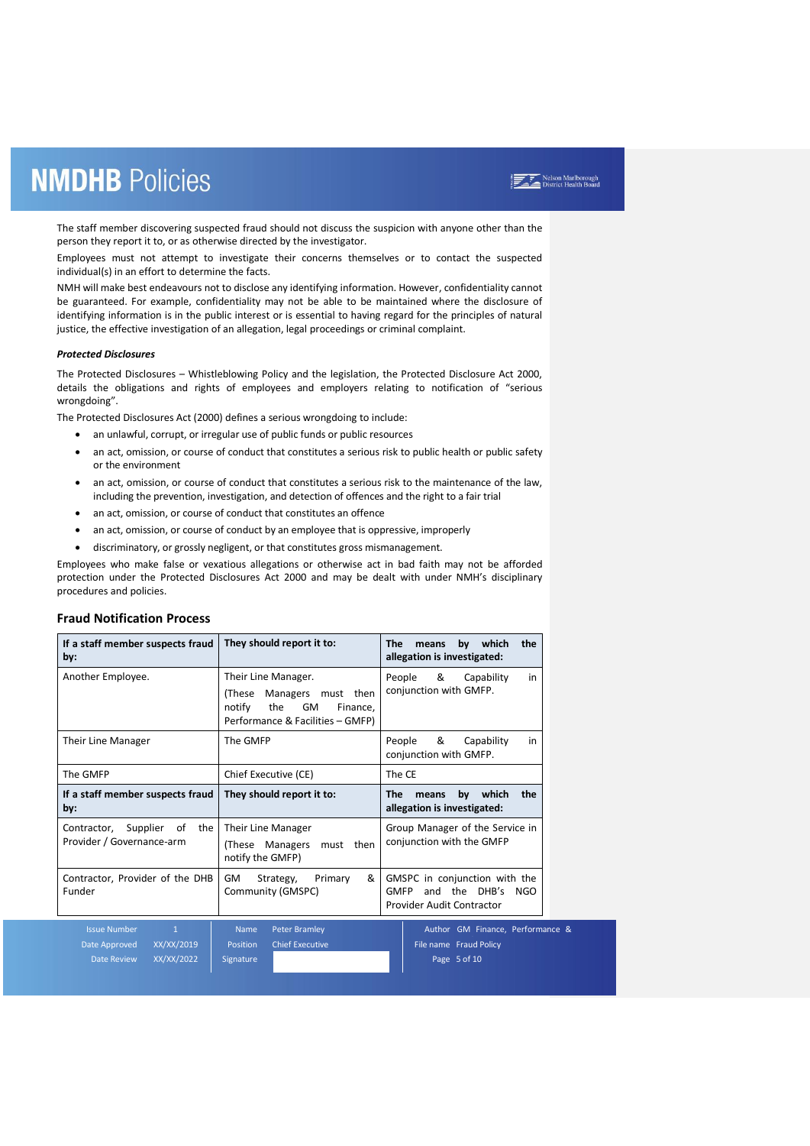The staff member discovering suspected fraud should not discuss the suspicion with anyone other than the person they report it to, or as otherwise directed by the investigator.

Employees must not attempt to investigate their concerns themselves or to contact the suspected individual(s) in an effort to determine the facts.

NMH will make best endeavours not to disclose any identifying information. However, confidentiality cannot be guaranteed. For example, confidentiality may not be able to be maintained where the disclosure of identifying information is in the public interest or is essential to having regard for the principles of natural justice, the effective investigation of an allegation, legal proceedings or criminal complaint.

#### *Protected Disclosures*

The Protected Disclosures – Whistleblowing Policy and the legislation, the Protected Disclosure Act 2000, details the obligations and rights of employees and employers relating to notification of "serious wrongdoing".

The Protected Disclosures Act (2000) defines a serious wrongdoing to include:

- an unlawful, corrupt, or irregular use of public funds or public resources
- an act, omission, or course of conduct that constitutes a serious risk to public health or public safety or the environment
- an act, omission, or course of conduct that constitutes a serious risk to the maintenance of the law, including the prevention, investigation, and detection of offences and the right to a fair trial
- an act, omission, or course of conduct that constitutes an offence
- an act, omission, or course of conduct by an employee that is oppressive, improperly
- discriminatory, or grossly negligent, or that constitutes gross mismanagement.

Employees who make false or vexatious allegations or otherwise act in bad faith may not be afforded protection under the Protected Disclosures Act 2000 and may be dealt with under NMH's disciplinary procedures and policies.

| <b>Fraud Notification Process</b> |  |
|-----------------------------------|--|
|                                   |  |

| If a staff member suspects fraud<br>by:                                                         | They should report it to:                                                                                                  | The<br>by which<br>the<br>means<br>allegation is investigated:                                    |  |  |  |
|-------------------------------------------------------------------------------------------------|----------------------------------------------------------------------------------------------------------------------------|---------------------------------------------------------------------------------------------------|--|--|--|
| Another Employee.                                                                               | Their Line Manager.<br>Managers must then<br>(These<br>notify<br>the<br>GM<br>Finance.<br>Performance & Facilities - GMFP) | &<br>People<br>Capability<br>in<br>conjunction with GMFP.                                         |  |  |  |
| Their Line Manager                                                                              | The GMFP<br>&<br>Capability<br>People<br>conjunction with GMFP.                                                            |                                                                                                   |  |  |  |
| The GMFP                                                                                        | The CE<br>Chief Executive (CE)                                                                                             |                                                                                                   |  |  |  |
| If a staff member suspects fraud<br>by:                                                         | They should report it to:                                                                                                  | by<br>which<br>the<br><b>The</b><br>means<br>allegation is investigated:                          |  |  |  |
| Contractor, Supplier<br>of<br>the<br>Provider / Governance-arm                                  | Their Line Manager<br>(These Managers<br>then<br>must<br>notify the GMFP)                                                  | Group Manager of the Service in<br>conjunction with the GMFP                                      |  |  |  |
| Contractor, Provider of the DHB<br>Funder                                                       | &<br>GM<br>Strategy,<br>Primary<br>Community (GMSPC)                                                                       | GMSPC in conjunction with the<br>and the DHB's<br><b>GMFP</b><br>NGO<br>Provider Audit Contractor |  |  |  |
| <b>Issue Number</b><br>$\mathbf{1}$<br>XX/XX/2019<br>Date Approved<br>XX/XX/2022<br>Date Review | <b>Peter Bramley</b><br><b>Name</b><br><b>Chief Executive</b><br>Position<br>Signature                                     | Author GM Finance, Performance &<br>File name Fraud Policy<br>Page 5 of 10                        |  |  |  |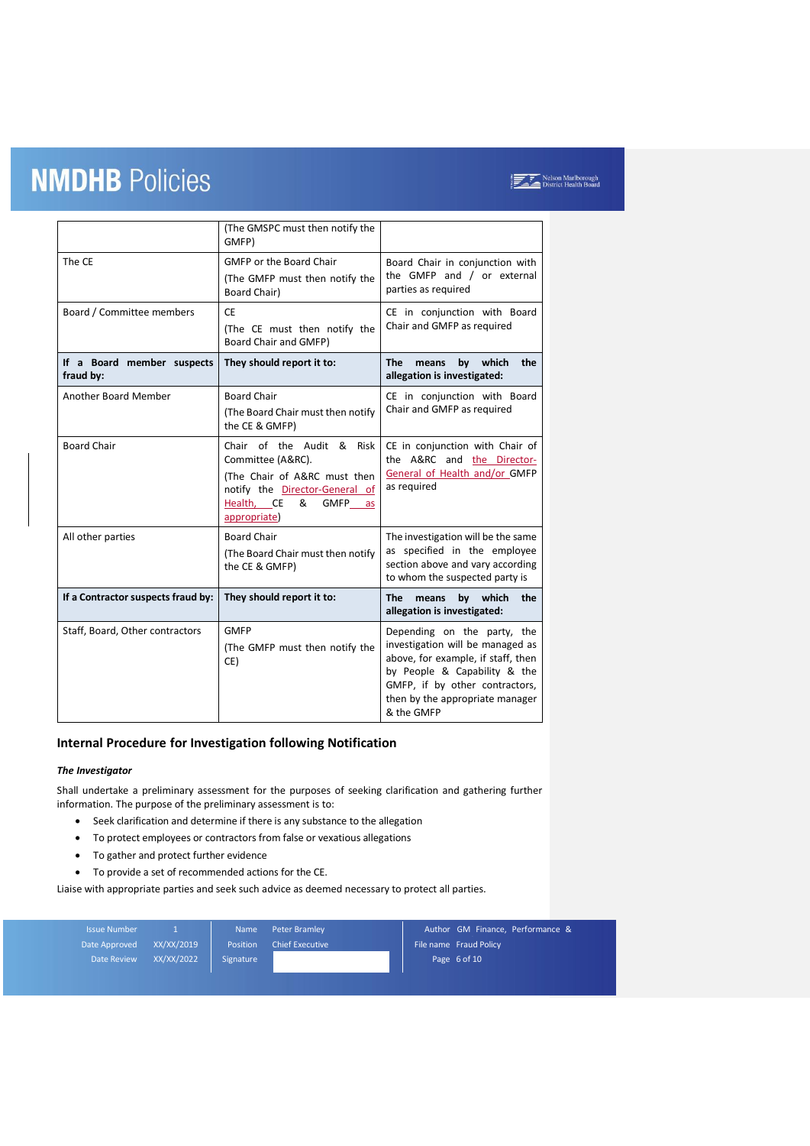|                                         | (The GMSPC must then notify the<br>GMFP)                                                                                                                       |                                                                                                                                                                         |  |
|-----------------------------------------|----------------------------------------------------------------------------------------------------------------------------------------------------------------|-------------------------------------------------------------------------------------------------------------------------------------------------------------------------|--|
| The CE                                  | <b>GMFP or the Board Chair</b>                                                                                                                                 | Board Chair in conjunction with                                                                                                                                         |  |
|                                         | (The GMFP must then notify the<br>Board Chair)                                                                                                                 | the GMFP and / or external<br>parties as required                                                                                                                       |  |
| Board / Committee members               | <b>CE</b>                                                                                                                                                      | CE in conjunction with Board                                                                                                                                            |  |
|                                         | (The CE must then notify the<br>Board Chair and GMFP)                                                                                                          | Chair and GMFP as required                                                                                                                                              |  |
| If a Board member suspects<br>fraud by: | They should report it to:                                                                                                                                      | which<br><b>The</b><br>means<br>by<br>the<br>allegation is investigated:                                                                                                |  |
| <b>Another Board Member</b>             | <b>Board Chair</b><br>(The Board Chair must then notify<br>the CE & GMFP)                                                                                      | CE in conjunction with Board<br>Chair and GMFP as required                                                                                                              |  |
| <b>Board Chair</b>                      | Chair of the Audit & Risk<br>Committee (A&RC).<br>(The Chair of A&RC must then<br>notify the Director-General of<br>Health, CE<br>&<br>GMFP as<br>appropriate) | CE in conjunction with Chair of<br>the A&RC and the Director-<br>General of Health and/or GMFP<br>as required                                                           |  |
| All other parties                       | <b>Board Chair</b><br>(The Board Chair must then notify<br>the CE & GMFP)                                                                                      | The investigation will be the same<br>as specified in the employee<br>section above and vary according<br>to whom the suspected party is                                |  |
| If a Contractor suspects fraud by:      | They should report it to:                                                                                                                                      | which<br><b>The</b><br>means<br>by<br>the<br>allegation is investigated:                                                                                                |  |
| Staff, Board, Other contractors         | <b>GMFP</b><br>(The GMFP must then notify the<br>CE)                                                                                                           | Depending on the party, the<br>investigation will be managed as<br>above, for example, if staff, then<br>by People & Capability & the<br>GMFP, if by other contractors, |  |
|                                         |                                                                                                                                                                | then by the appropriate manager<br>& the GMFP                                                                                                                           |  |

### **Internal Procedure for Investigation following Notification**

#### *The Investigator*

Shall undertake a preliminary assessment for the purposes of seeking clarification and gathering further information. The purpose of the preliminary assessment is to:

- Seek clarification and determine if there is any substance to the allegation
- To protect employees or contractors from false or vexatious allegations
- To gather and protect further evidence
- To provide a set of recommended actions for the CE.

Liaise with appropriate parties and seek such advice as deemed necessary to protect all parties.

| <b>Issue Number</b> |            | <b>Name</b>     | Peter Bramley          | Author GM Finance, Performance & |
|---------------------|------------|-----------------|------------------------|----------------------------------|
| Date Approved       | XX/XX/2019 | <b>Position</b> | <b>Chief Executive</b> | File name Fraud Policy           |
| Date Review         | XX/XX/2022 | Signature       |                        | Page 6 of 10                     |
|                     |            |                 |                        |                                  |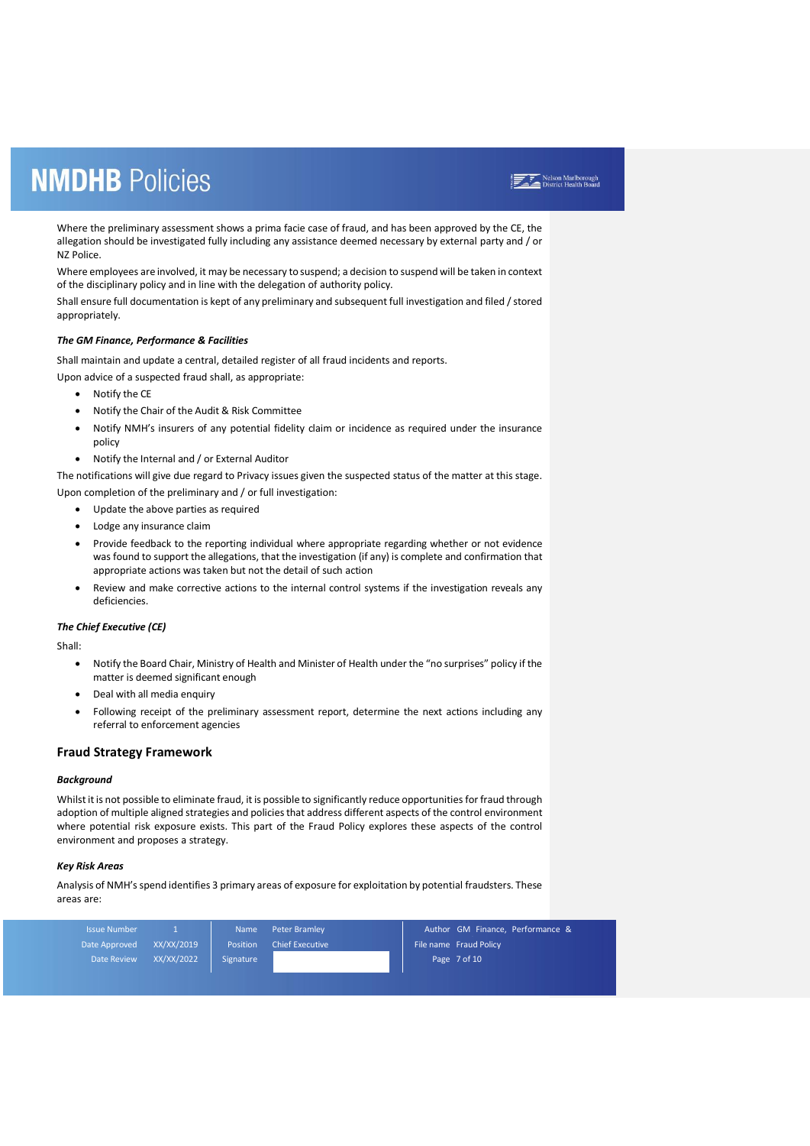Where the preliminary assessment shows a prima facie case of fraud, and has been approved by the CE, the allegation should be investigated fully including any assistance deemed necessary by external party and / or NZ Police.

Where employees are involved, it may be necessary to suspend; a decision to suspend will be taken in context of the disciplinary policy and in line with the delegation of authority policy.

Shall ensure full documentation is kept of any preliminary and subsequent full investigation and filed / stored appropriately.

#### *The GM Finance, Performance & Facilities*

Shall maintain and update a central, detailed register of all fraud incidents and reports.

- Upon advice of a suspected fraud shall, as appropriate:
	- Notify the CE
	- Notify the Chair of the Audit & Risk Committee
	- Notify NMH's insurers of any potential fidelity claim or incidence as required under the insurance policy
	- Notify the Internal and / or External Auditor

The notifications will give due regard to Privacy issues given the suspected status of the matter at this stage. Upon completion of the preliminary and / or full investigation:

- Update the above parties as required
- Lodge any insurance claim
- Provide feedback to the reporting individual where appropriate regarding whether or not evidence was found to support the allegations, that the investigation (if any) is complete and confirmation that appropriate actions was taken but not the detail of such action
- Review and make corrective actions to the internal control systems if the investigation reveals any deficiencies.

#### *The Chief Executive (CE)*

Shall:

- Notify the Board Chair, Ministry of Health and Minister of Health under the "no surprises" policy if the matter is deemed significant enough
- Deal with all media enquiry
- Following receipt of the preliminary assessment report, determine the next actions including any referral to enforcement agencies

#### **Fraud Strategy Framework**

#### *Background*

Whilst it is not possible to eliminate fraud, it is possible to significantly reduce opportunities for fraud through adoption of multiple aligned strategies and policies that address different aspects of the control environment where potential risk exposure exists. This part of the Fraud Policy explores these aspects of the control environment and proposes a strategy.

#### *Key Risk Areas*

Analysis of NMH's spend identifies 3 primary areas of exposure for exploitation by potential fraudsters. These areas are:

| <b>Issue Number</b> |            | <b>Name</b> | <b>Peter Bramley</b>   | Author GM Finance, Performance & |
|---------------------|------------|-------------|------------------------|----------------------------------|
| Date Approved       | XX/XX/2019 | Position    | <b>Chief Executive</b> | File name Fraud Policy           |
| Date Review         | XX/XX/2022 | Signature   |                        | Page 7 of 10                     |
|                     |            |             |                        |                                  |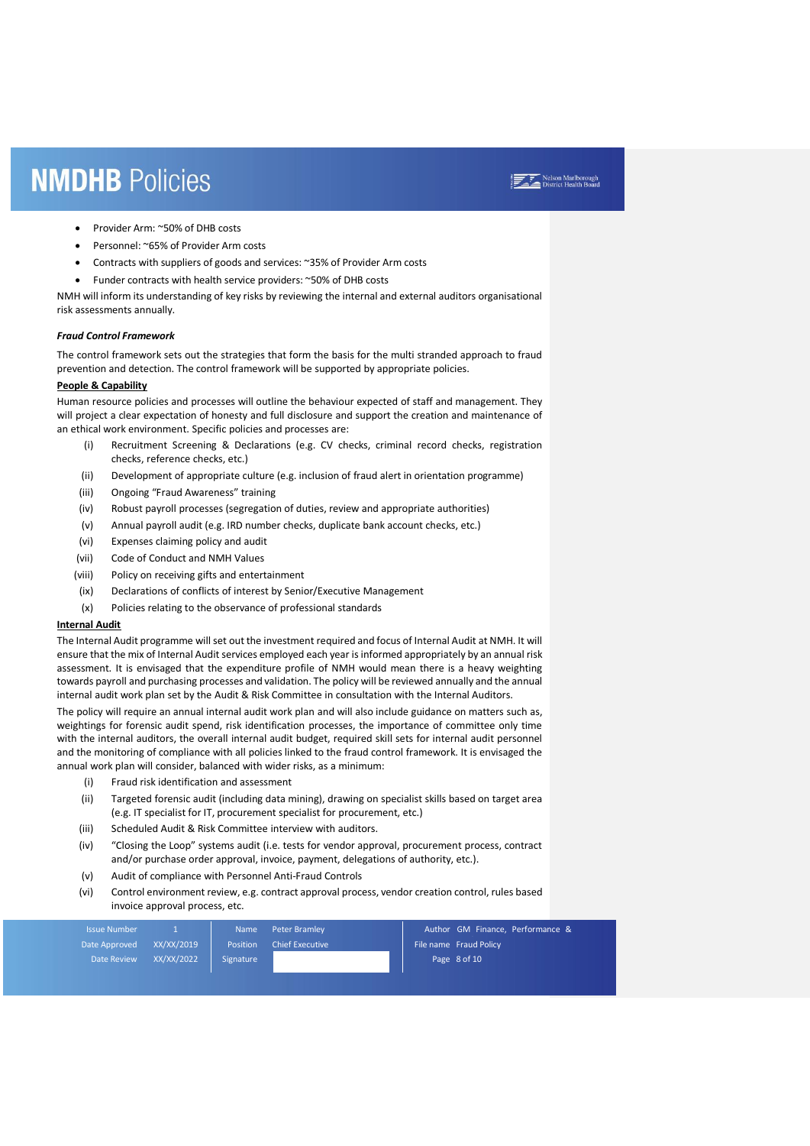- Provider Arm: ~50% of DHB costs
- Personnel: ~65% of Provider Arm costs
- Contracts with suppliers of goods and services: ~35% of Provider Arm costs
- Funder contracts with health service providers: ~50% of DHB costs

NMH will inform its understanding of key risks by reviewing the internal and external auditors organisational risk assessments annually.

#### *Fraud Control Framework*

The control framework sets out the strategies that form the basis for the multi stranded approach to fraud prevention and detection. The control framework will be supported by appropriate policies.

#### **People & Capability**

Human resource policies and processes will outline the behaviour expected of staff and management. They will project a clear expectation of honesty and full disclosure and support the creation and maintenance of an ethical work environment. Specific policies and processes are:

- (i) Recruitment Screening & Declarations (e.g. CV checks, criminal record checks, registration checks, reference checks, etc.)
- (ii) Development of appropriate culture (e.g. inclusion of fraud alert in orientation programme)
- (iii) Ongoing "Fraud Awareness" training
- (iv) Robust payroll processes (segregation of duties, review and appropriate authorities)
- (v) Annual payroll audit (e.g. IRD number checks, duplicate bank account checks, etc.)
- (vi) Expenses claiming policy and audit
- (vii) Code of Conduct and NMH Values
- (viii) Policy on receiving gifts and entertainment
- (ix) Declarations of conflicts of interest by Senior/Executive Management
- (x) Policies relating to the observance of professional standards

#### **Internal Audit**

The Internal Audit programme will set out the investment required and focus of Internal Audit at NMH. It will ensure that the mix of Internal Audit services employed each year is informed appropriately by an annual risk assessment. It is envisaged that the expenditure profile of NMH would mean there is a heavy weighting towards payroll and purchasing processes and validation. The policy will be reviewed annually and the annual internal audit work plan set by the Audit & Risk Committee in consultation with the Internal Auditors.

The policy will require an annual internal audit work plan and will also include guidance on matters such as, weightings for forensic audit spend, risk identification processes, the importance of committee only time with the internal auditors, the overall internal audit budget, required skill sets for internal audit personnel and the monitoring of compliance with all policies linked to the fraud control framework. It is envisaged the annual work plan will consider, balanced with wider risks, as a minimum:

- (i) Fraud risk identification and assessment
- (ii) Targeted forensic audit (including data mining), drawing on specialist skills based on target area (e.g. IT specialist for IT, procurement specialist for procurement, etc.)
- (iii) Scheduled Audit & Risk Committee interview with auditors.
- (iv) "Closing the Loop" systems audit (i.e. tests for vendor approval, procurement process, contract and/or purchase order approval, invoice, payment, delegations of authority, etc.).
- (v) Audit of compliance with Personnel Anti-Fraud Controls
- (vi) Control environment review, e.g. contract approval process, vendor creation control, rules based invoice approval process, etc.

| <b>Issue Number</b> |            | <b>Name</b> | Peter Bramley          | Author GM Finance, Performance & |
|---------------------|------------|-------------|------------------------|----------------------------------|
| Date Approved       | XX/XX/2019 | Position    | <b>Chief Executive</b> | File name Fraud Policy           |
| Date Review         | XX/XX/2022 | Signature   |                        | Page 8 of 10                     |
|                     |            |             |                        |                                  |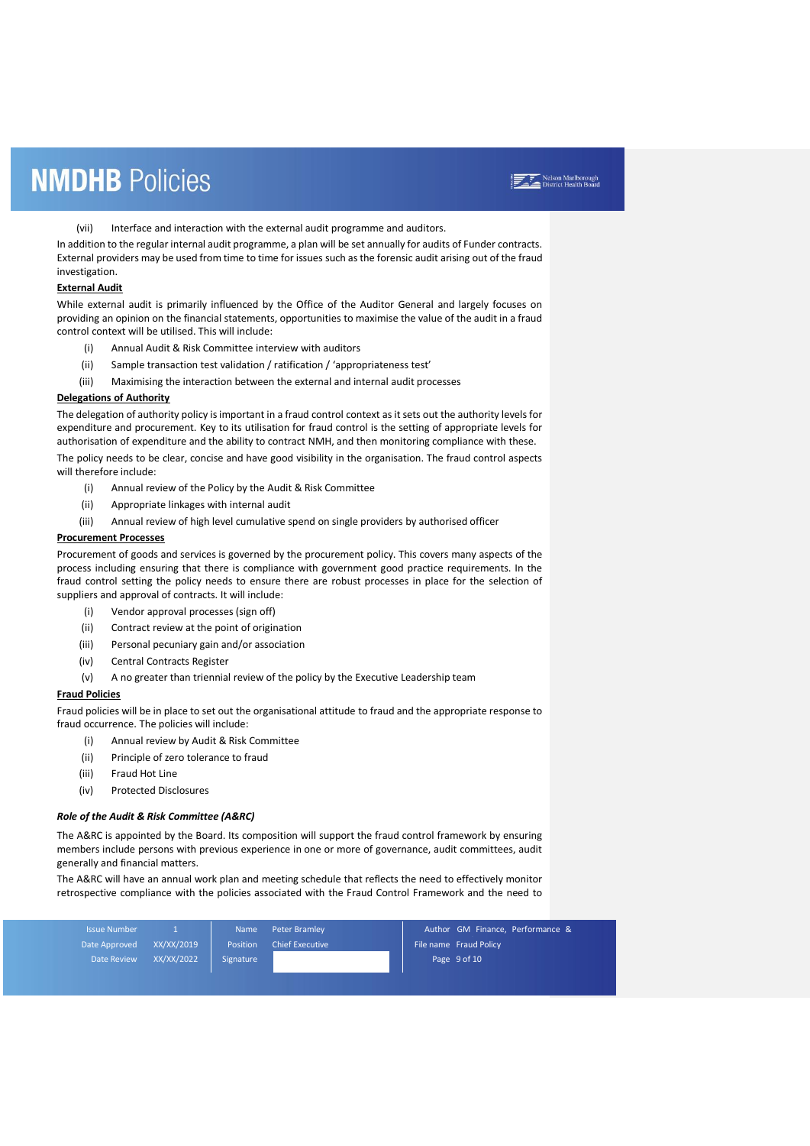(vii) Interface and interaction with the external audit programme and auditors.

In addition to the regular internal audit programme, a plan will be set annually for audits of Funder contracts. External providers may be used from time to time for issues such as the forensic audit arising out of the fraud investigation.

#### **External Audit**

While external audit is primarily influenced by the Office of the Auditor General and largely focuses on providing an opinion on the financial statements, opportunities to maximise the value of the audit in a fraud control context will be utilised. This will include:

- (i) Annual Audit & Risk Committee interview with auditors
- (ii) Sample transaction test validation / ratification / 'appropriateness test'
- (iii) Maximising the interaction between the external and internal audit processes

#### **Delegations of Authority**

The delegation of authority policy is important in a fraud control context as it sets out the authority levels for expenditure and procurement. Key to its utilisation for fraud control is the setting of appropriate levels for authorisation of expenditure and the ability to contract NMH, and then monitoring compliance with these.

The policy needs to be clear, concise and have good visibility in the organisation. The fraud control aspects will therefore include:

- (i) Annual review of the Policy by the Audit & Risk Committee
- (ii) Appropriate linkages with internal audit
- (iii) Annual review of high level cumulative spend on single providers by authorised officer

#### **Procurement Processes**

Procurement of goods and services is governed by the procurement policy. This covers many aspects of the process including ensuring that there is compliance with government good practice requirements. In the fraud control setting the policy needs to ensure there are robust processes in place for the selection of suppliers and approval of contracts. It will include:

- (i) Vendor approval processes (sign off)
- (ii) Contract review at the point of origination
- (iii) Personal pecuniary gain and/or association
- (iv) Central Contracts Register
- (v) A no greater than triennial review of the policy by the Executive Leadership team

#### **Fraud Policies**

Fraud policies will be in place to set out the organisational attitude to fraud and the appropriate response to fraud occurrence. The policies will include:

- (i) Annual review by Audit & Risk Committee
- (ii) Principle of zero tolerance to fraud
- (iii) Fraud Hot Line
- (iv) Protected Disclosures

#### *Role of the Audit & Risk Committee (A&RC)*

The A&RC is appointed by the Board. Its composition will support the fraud control framework by ensuring members include persons with previous experience in one or more of governance, audit committees, audit generally and financial matters.

The A&RC will have an annual work plan and meeting schedule that reflects the need to effectively monitor retrospective compliance with the policies associated with the Fraud Control Framework and the need to